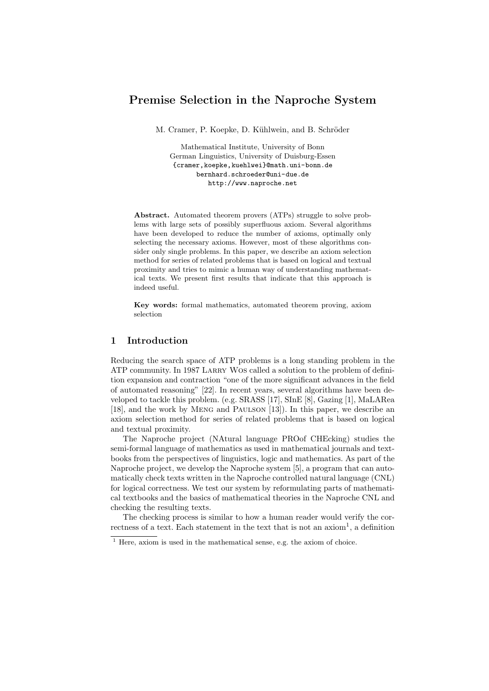# Premise Selection in the Naproche System

M. Cramer, P. Koepke, D. Kühlwein, and B. Schröder

Mathematical Institute, University of Bonn German Linguistics, University of Duisburg-Essen {cramer,koepke,kuehlwei}@math.uni-bonn.de bernhard.schroeder@uni-due.de http://www.naproche.net

Abstract. Automated theorem provers (ATPs) struggle to solve problems with large sets of possibly superfluous axiom. Several algorithms have been developed to reduce the number of axioms, optimally only selecting the necessary axioms. However, most of these algorithms consider only single problems. In this paper, we describe an axiom selection method for series of related problems that is based on logical and textual proximity and tries to mimic a human way of understanding mathematical texts. We present first results that indicate that this approach is indeed useful.

Key words: formal mathematics, automated theorem proving, axiom selection

## 1 Introduction

Reducing the search space of ATP problems is a long standing problem in the ATP community. In 1987 LARRY WOS called a solution to the problem of definition expansion and contraction "one of the more significant advances in the field of automated reasoning" [22]. In recent years, several algorithms have been developed to tackle this problem. (e.g. SRASS [17], SInE [8], Gazing [1], MaLARea [18], and the work by Meng and Paulson [13]). In this paper, we describe an axiom selection method for series of related problems that is based on logical and textual proximity.

The Naproche project (NAtural language PROof CHEcking) studies the semi-formal language of mathematics as used in mathematical journals and textbooks from the perspectives of linguistics, logic and mathematics. As part of the Naproche project, we develop the Naproche system [5], a program that can automatically check texts written in the Naproche controlled natural language (CNL) for logical correctness. We test our system by reformulating parts of mathematical textbooks and the basics of mathematical theories in the Naproche CNL and checking the resulting texts.

The checking process is similar to how a human reader would verify the correctness of a text. Each statement in the text that is not an  $axiom<sup>1</sup>$ , a definition

<sup>&</sup>lt;sup>1</sup> Here, axiom is used in the mathematical sense, e.g. the axiom of choice.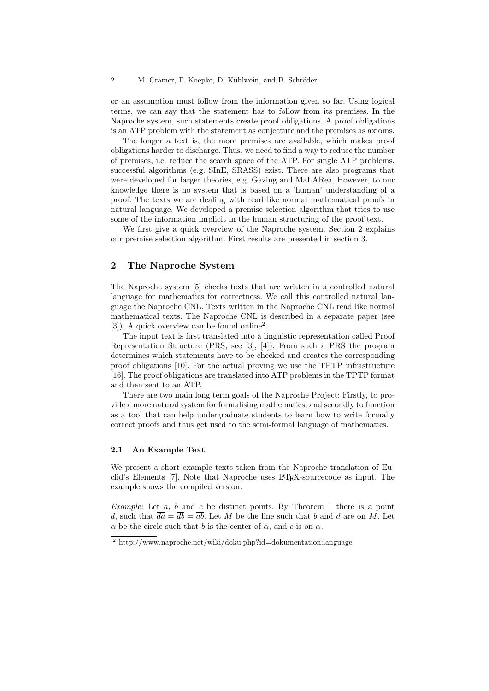or an assumption must follow from the information given so far. Using logical terms, we can say that the statement has to follow from its premises. In the Naproche system, such statements create proof obligations. A proof obligations is an ATP problem with the statement as conjecture and the premises as axioms.

The longer a text is, the more premises are available, which makes proof obligations harder to discharge. Thus, we need to find a way to reduce the number of premises, i.e. reduce the search space of the ATP. For single ATP problems, successful algorithms (e.g. SInE, SRASS) exist. There are also programs that were developed for larger theories, e.g. Gazing and MaLARea. However, to our knowledge there is no system that is based on a 'human' understanding of a proof. The texts we are dealing with read like normal mathematical proofs in natural language. We developed a premise selection algorithm that tries to use some of the information implicit in the human structuring of the proof text.

We first give a quick overview of the Naproche system. Section 2 explains our premise selection algorithm. First results are presented in section 3.

## 2 The Naproche System

The Naproche system [5] checks texts that are written in a controlled natural language for mathematics for correctness. We call this controlled natural language the Naproche CNL. Texts written in the Naproche CNL read like normal mathematical texts. The Naproche CNL is described in a separate paper (see [3]). A quick overview can be found online<sup>2</sup> .

The input text is first translated into a linguistic representation called Proof Representation Structure (PRS, see [3], [4]). From such a PRS the program determines which statements have to be checked and creates the corresponding proof obligations [10]. For the actual proving we use the TPTP infrastructure [16]. The proof obligations are translated into ATP problems in the TPTP format and then sent to an ATP.

There are two main long term goals of the Naproche Project: Firstly, to provide a more natural system for formalising mathematics, and secondly to function as a tool that can help undergraduate students to learn how to write formally correct proofs and thus get used to the semi-formal language of mathematics.

#### 2.1 An Example Text

We present a short example texts taken from the Naproche translation of Euclid's Elements [7]. Note that Naproche uses LATEX-sourcecode as input. The example shows the compiled version.

Example: Let  $a, b$  and  $c$  be distinct points. By Theorem 1 there is a point d, such that  $\overline{da} = \overline{db} = \overline{ab}$ . Let M be the line such that b and d are on M. Let  $\alpha$  be the circle such that b is the center of  $\alpha$ , and c is on  $\alpha$ .

<sup>2</sup> http://www.naproche.net/wiki/doku.php?id=dokumentation:language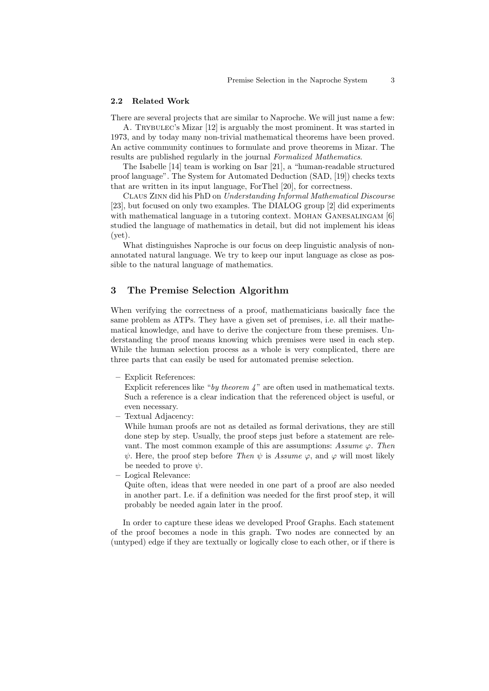#### 2.2 Related Work

There are several projects that are similar to Naproche. We will just name a few: A. Trybulec's Mizar [12] is arguably the most prominent. It was started in 1973, and by today many non-trivial mathematical theorems have been proved. An active community continues to formulate and prove theorems in Mizar. The

results are published regularly in the journal Formalized Mathematics. The Isabelle [14] team is working on Isar [21], a "human-readable structured proof language". The System for Automated Deduction (SAD, [19]) checks texts that are written in its input language, ForThel [20], for correctness.

Claus Zinn did his PhD on Understanding Informal Mathematical Discourse [23], but focused on only two examples. The DIALOG group [2] did experiments with mathematical language in a tutoring context. MOHAN GANESALINGAM [6] studied the language of mathematics in detail, but did not implement his ideas (yet).

What distinguishes Naproche is our focus on deep linguistic analysis of nonannotated natural language. We try to keep our input language as close as possible to the natural language of mathematics.

#### 3 The Premise Selection Algorithm

When verifying the correctness of a proof, mathematicians basically face the same problem as ATPs. They have a given set of premises, i.e. all their mathematical knowledge, and have to derive the conjecture from these premises. Understanding the proof means knowing which premises were used in each step. While the human selection process as a whole is very complicated, there are three parts that can easily be used for automated premise selection.

– Explicit References:

Explicit references like "by theorem  $\lambda$ " are often used in mathematical texts. Such a reference is a clear indication that the referenced object is useful, or even necessary.

– Textual Adjacency:

While human proofs are not as detailed as formal derivations, they are still done step by step. Usually, the proof steps just before a statement are relevant. The most common example of this are assumptions: Assume  $\varphi$ . Then  $\psi$ . Here, the proof step before *Then*  $\psi$  is *Assume*  $\varphi$ , and  $\varphi$  will most likely be needed to prove  $\psi$ .

– Logical Relevance:

Quite often, ideas that were needed in one part of a proof are also needed in another part. I.e. if a definition was needed for the first proof step, it will probably be needed again later in the proof.

In order to capture these ideas we developed Proof Graphs. Each statement of the proof becomes a node in this graph. Two nodes are connected by an (untyped) edge if they are textually or logically close to each other, or if there is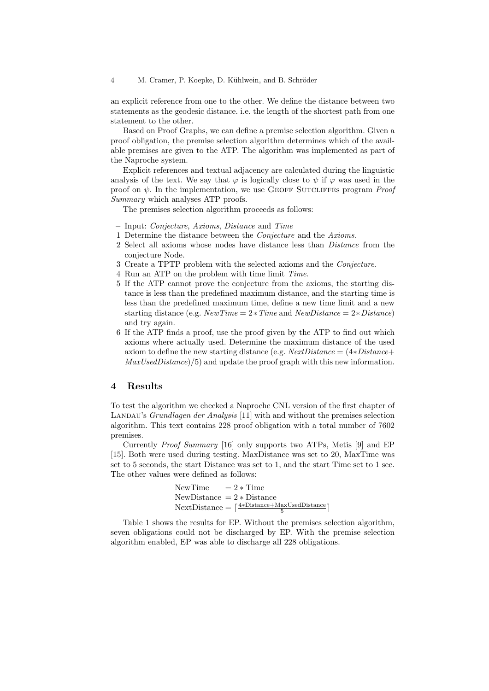an explicit reference from one to the other. We define the distance between two statements as the geodesic distance. i.e. the length of the shortest path from one statement to the other.

Based on Proof Graphs, we can define a premise selection algorithm. Given a proof obligation, the premise selection algorithm determines which of the available premises are given to the ATP. The algorithm was implemented as part of the Naproche system.

Explicit references and textual adjacency are calculated during the linguistic analysis of the text. We say that  $\varphi$  is logically close to  $\psi$  if  $\varphi$  was used in the proof on  $\psi$ . In the implementation, we use GEOFF SUTCLIFFES program *Proof* Summary which analyses ATP proofs.

The premises selection algorithm proceeds as follows:

- Input: Conjecture, Axioms, Distance and Time
- 1 Determine the distance between the Conjecture and the Axioms.
- 2 Select all axioms whose nodes have distance less than Distance from the conjecture Node.
- 3 Create a TPTP problem with the selected axioms and the Conjecture.
- 4 Run an ATP on the problem with time limit Time.
- 5 If the ATP cannot prove the conjecture from the axioms, the starting distance is less than the predefined maximum distance, and the starting time is less than the predefined maximum time, define a new time limit and a new starting distance (e.g.  $NewTime = 2 * Time$  and  $NewDistance = 2 * Distance$ ) and try again.
- 6 If the ATP finds a proof, use the proof given by the ATP to find out which axioms where actually used. Determine the maximum distance of the used axiom to define the new starting distance (e.g.  $NextDistance = (4*Distance +$  $MaxUsedDistance$ )/5) and update the proof graph with this new information.

#### 4 Results

To test the algorithm we checked a Naproche CNL version of the first chapter of LANDAU's Grundlagen der Analysis [11] with and without the premises selection algorithm. This text contains 228 proof obligation with a total number of 7602 premises.

Currently Proof Summary [16] only supports two ATPs, Metis [9] and EP [15]. Both were used during testing. MaxDistance was set to 20, MaxTime was set to 5 seconds, the start Distance was set to 1, and the start Time set to 1 sec. The other values were defined as follows:

> NewTime  $= 2 * Time$ NewDistance  $= 2 * Distance$  $\text{NextDistance} = \lceil \frac{4 * \text{Distance} + \text{MaxUsedDistance}}{5} \rceil$

Table 1 shows the results for EP. Without the premises selection algorithm, seven obligations could not be discharged by EP. With the premise selection algorithm enabled, EP was able to discharge all 228 obligations.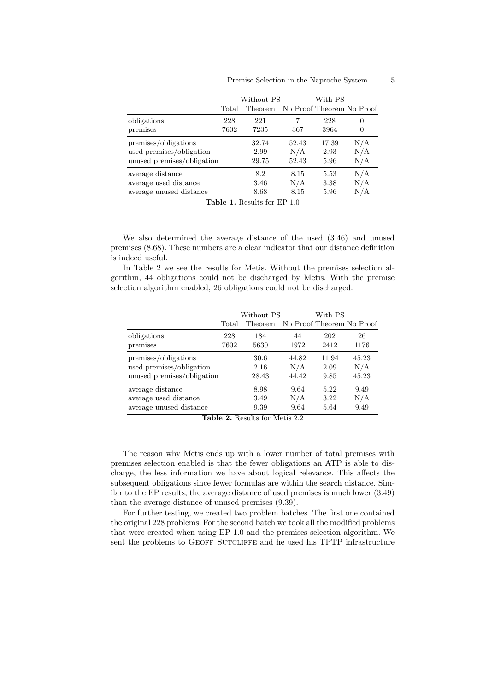## Premise Selection in the Naproche System 5

|                            | Without PS |         | With PS |       |                           |
|----------------------------|------------|---------|---------|-------|---------------------------|
|                            | Total      | Theorem |         |       | No Proof Theorem No Proof |
| obligations                | 228        | 221     | 7       | 228   | 0                         |
| premises                   | 7602       | 7235    | 367     | 3964  | 0                         |
| premises/obligations       |            | 32.74   | 52.43   | 17.39 | N/A                       |
| used premises/obligation   |            | 2.99    | N/A     | 2.93  | N/A                       |
| unused premises/obligation |            | 29.75   | 52.43   | 5.96  | N/A                       |
| average distance           |            | 8.2     | 8.15    | 5.53  | N/A                       |
| average used distance      |            | 3.46    | N/A     | 3.38  | N/A                       |
| average unused distance    |            | 8.68    | 8.15    | 5.96  | N/A                       |

Table 1. Results for EP 1.0

We also determined the average distance of the used (3.46) and unused premises (8.68). These numbers are a clear indicator that our distance definition is indeed useful.

In Table 2 we see the results for Metis. Without the premises selection algorithm, 44 obligations could not be discharged by Metis. With the premise selection algorithm enabled, 26 obligations could not be discharged.

|                            | Without PS |         |       | With PS                   |       |  |
|----------------------------|------------|---------|-------|---------------------------|-------|--|
|                            | Total      | Theorem |       | No Proof Theorem No Proof |       |  |
| obligations                | 228        | 184     | 44    | 202                       | 26    |  |
| premises                   | 7602       | 5630    | 1972  | 2412                      | 1176  |  |
| premises/obligations       |            | 30.6    | 44.82 | 11.94                     | 45.23 |  |
| used premises/obligation   |            | 2.16    | N/A   | 2.09                      | N/A   |  |
| unused premises/obligation |            | 28.43   | 44.42 | 9.85                      | 45.23 |  |
| average distance           |            | 8.98    | 9.64  | 5.22                      | 9.49  |  |
| average used distance      |            | 3.49    | N/A   | 3.22                      | N/A   |  |
| average unused distance    |            | 9.39    | 9.64  | 5.64                      | 9.49  |  |

Table 2. Results for Metis 2.2

The reason why Metis ends up with a lower number of total premises with premises selection enabled is that the fewer obligations an ATP is able to discharge, the less information we have about logical relevance. This affects the subsequent obligations since fewer formulas are within the search distance. Similar to the EP results, the average distance of used premises is much lower (3.49) than the average distance of unused premises (9.39).

For further testing, we created two problem batches. The first one contained the original 228 problems. For the second batch we took all the modified problems that were created when using EP 1.0 and the premises selection algorithm. We sent the problems to GEOFF SUTCLIFFE and he used his TPTP infrastructure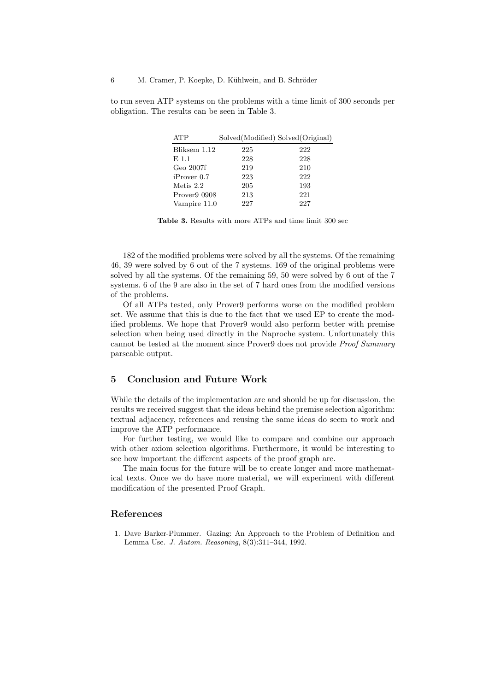to run seven ATP systems on the problems with a time limit of 300 seconds per obligation. The results can be seen in Table 3.

| <b>ATP</b>   | Solved(Modified) Solved(Original) |     |
|--------------|-----------------------------------|-----|
| Bliksem 1.12 | 225                               | 222 |
| E 1.1        | 228                               | 228 |
| Geo 2007f    | 219                               | 210 |
| iProver~0.7  | 223                               | 222 |
| Metis 2.2    | 205                               | 193 |
| Prover9 0908 | 213                               | 221 |
| Vampire 11.0 | 227                               | 227 |

Table 3. Results with more ATPs and time limit 300 sec

182 of the modified problems were solved by all the systems. Of the remaining 46, 39 were solved by 6 out of the 7 systems. 169 of the original problems were solved by all the systems. Of the remaining 59, 50 were solved by 6 out of the 7 systems. 6 of the 9 are also in the set of 7 hard ones from the modified versions of the problems.

Of all ATPs tested, only Prover9 performs worse on the modified problem set. We assume that this is due to the fact that we used EP to create the modified problems. We hope that Prover9 would also perform better with premise selection when being used directly in the Naproche system. Unfortunately this cannot be tested at the moment since Prover9 does not provide Proof Summary parseable output.

## 5 Conclusion and Future Work

While the details of the implementation are and should be up for discussion, the results we received suggest that the ideas behind the premise selection algorithm: textual adjacency, references and reusing the same ideas do seem to work and improve the ATP performance.

For further testing, we would like to compare and combine our approach with other axiom selection algorithms. Furthermore, it would be interesting to see how important the different aspects of the proof graph are.

The main focus for the future will be to create longer and more mathematical texts. Once we do have more material, we will experiment with different modification of the presented Proof Graph.

#### References

1. Dave Barker-Plummer. Gazing: An Approach to the Problem of Definition and Lemma Use. J. Autom. Reasoning, 8(3):311–344, 1992.